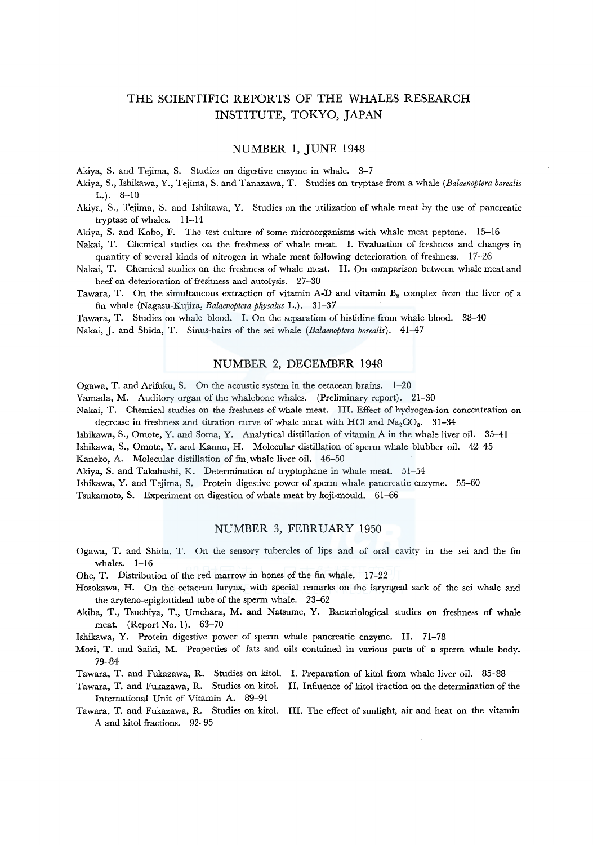# THE SCIENTIFIC REPORTS OF THE WHALES RESEARCH INSTITUTE, TOKYO, JAPAN

## NUMBER 1, JUNE 1948

Akiya, S. and Tejima, S. Studies on digestive enzyme in whale. 3-7

Akiya, S., Ishikawa, Y., Tejima, S. and Tanazawa, T. Studies on tryptase from a whale *(Balaenoptera borealis*  L.). 8-10

Akiya, S., Tejima, S. and Ishikawa, Y. Studies on the utilization of whale meat by the use of pancreatic tryptase of whales. 11-14

Akiya, S. and Kobo, F. The test culture of some microorganisms with whale meat peptone. 15-16

- Nakai, T. Chemical studies on the freshness of whale meat. I. Evaluation of freshness and changes in quantity of several kinds of nitrogen in whale meat following deterioration of freshness. 17-26
- Nakai, T. Chemical studies on the freshness of whale meat. II. On comparison between whale meat and beef on deterioration of freshness and autolysis. 27-30
- Tawara, T. On the simultaneous extraction of vitamin A-D and vitamin B<sub>2</sub> complex from the liver of a fin whale (Nagasu-Kujira, *Balaenoptera physalus* L.). 31-37

Tawara, T. Studies on whale blood. I. On the separation of histidine from whale blood. 38-40 Nakai, J. and Shida, T. Sinus-hairs of the sei whale *(Balaenoptera borealis).* 41-47

#### NUMBER 2, DECEMBER 1948

Ogawa, T. and Arifuku, S. On the acoustic system in the cetacean brains. 1-20

Yamada, M. Auditory organ of the whalebone whales. (Preliminary report). 21-30

Nakai, T. Chemical studies on the freshness of whale meat. III. Effect of hydrogen-ion concentration on decrease in freshness and titration curve of whale meat with HCl and  $Na_2CO_3$ . 31-34

Ishikawa, S., Omote, Y. and Soma, Y. Analytical distillation of vitamin A in the whale liver oil. 35-41

Ishikawa, S., Omote, Y. and Kanno, H. Molecular distillation of sperm whale blubber oil. 42-45

Kaneko, A. Molecular distillation of fin. whale liver oil. 46-50

Akiya, S. and Takahashi, K. Determination of tryptophane in whale meat. 51-54

Ishikawa, Y. and Tejima, S. Protein digestive power of sperm whale pancreatic enzyme. 55-60

Tsukamoto, S. Experiment on digestion of whale meat by koji-mould. 61-66

### NUMBER 3, FEBRUARY 1950

- Ogawa, T. and Shida, T. On the sensory tubercles of lips and of oral cavity in the sei and the fin whales. 1-16
- Ohe, T. Distribution of the red marrow in bones of the fin whale. 17-22
- Hosokawa, H. On the cetacean larynx, with special remarks on the laryngeal sack of the sei whale and the aryteno-epiglottideal tube of the sperm whale. 23-62
- Akiba, T., Tsuchiya, T., Umehara, M. and Natsume, Y. Bacteriological studies on freshness of whale meat. (Report No. 1). 63-70
- Ishikawa, Y. Protein digestive power of sperm whale pancreatic enzyme. II. 71-78
- Mori, T. and Saiki, M. Properties of fats and oils contained in various parts of a sperm whale body. 79-84
- Tawara, T. and Fukazawa, R. Studies on kitol. I. Preparation of kitol from whale liver oil. 85-88
- Tawara, T. and Fukazawa, R. Studies on kitol. II. Influence of kitol fraction on the determination of the International Unit of Vitamin A. 89-91
- Tawara, T. and Fukazawa, R. Studies on kitol. III. The effect of sunlight, air and heat on the vitamin A and kitol fractions. 92-95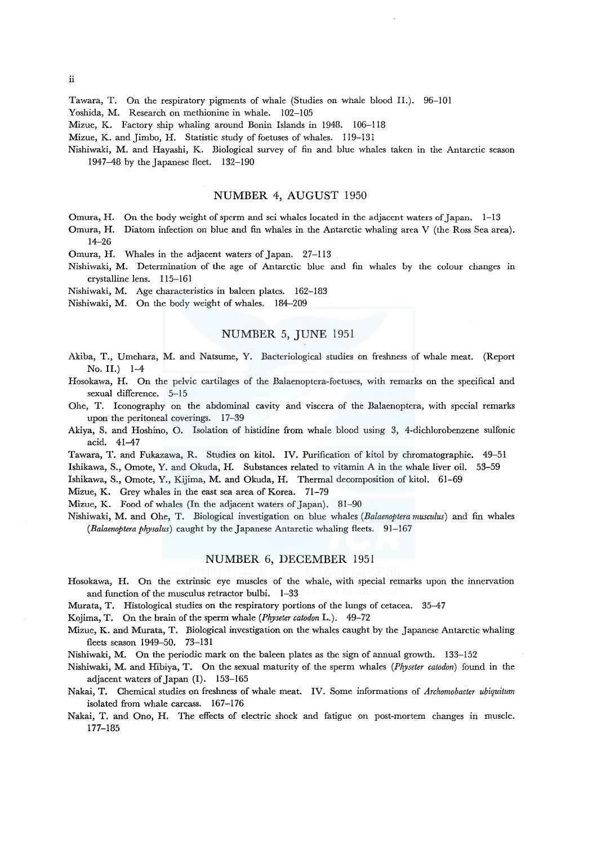ii

Tawara, T. On the respiratory pigments of whale (Studies on whale blood II.). 96-101 Yoshida, M. Research on methionine in whale. 102-105

Mizue, K. Factory ship whaling around Bonin Islands in 1948. 106-118

Mizue, K. and Jimbo, H. Statistic study of foetuses of whales. 119-131

Nishiwaki, M. and Hayashi, K. Biological survey of fin and blue whales taken m the Antarctic season 1947-48 by the Japanese fleet. 132-190

## NUMBER 4, AUGUST 1950

Omura, H. On the body weight of sperm and sci whales located in the adjacent waters of Japan. 1-13

Omura, H. Diatom infection on blue and fin whales in the Antarctic whaling area V (the Ross Sea area). 14-26

Omura, H. Whales in the adjacent waters of Japan. 27-113

Nishiwaki, M. Determination of the age of Antarctic blue and fin whales by the colour changes in crystalline lens. 115-161

Nishiwaki, M. Age characteristics in baleen plates. 162-183

Nishiwaki, M. On the body weight of whales. 184-209

# NUMBER 5, JUNE 1951

- Akiba, T., Umehara, M. and Natsume, Y. Bacteriological studies on freshness of whale meat. (Report No. II.) 1-4
- Hosokawa, H. On the pelvic cartilages of the Balaenoptera-foetuses, with remarks on the specifical and sexual difference. 5-15
- Ohe, T. Iconography on the abdominal cavity and viscera of the Balaenoptera, with special remarks upon the peritoneal coverings. 17-39
- Akiya, S. and Hoshino, 0. Isolation of histidine from whale blood using 3, 4-dichlorobenzene sulfonic acid. 41-47
- Tawara, T. and Fukazawa, R. Studies on kitol. IV. Purification of kitol by chromatographie. 49-51

Ishikawa, S., Ornate, Y. and Okuda, H. Substances related to vitamin A in the whale liver oil. 53-59

Ishikawa, S., Omote, Y., Kijima, M. and Okuda, H. Thermal decomposition of kitol. 61-69

Mizue, K. Grey whales in the east sea area of Korea. 71-79

Mizue, K. Food of whales (In the adjacent waters of Japan). 81-90

Nishiwaki, M. and Ohe, T. Biological investigation on blue whales *(Balaenoptera rnusculus)* and fin whales *(Balaenoptera physalus)* caught by the Japanese Antarctic whaling fleets. 91-167

#### NUMBER 6, DECEMBER 1951

- Hosokawa, H. On the extrinsic eye muscles of the whale, with special remarks upon the innervation and function of the musculus retractor bulbi. 1-33
- Murata, T. Histological studies on the respiratory portions of the lungs of cetacea. 35–47

Kojima, T. On the brain of the sperm whale *(Physeter catodon* L.). 49-72

Mizue, K. and Murata, T. Biological investigation on the whales caught by the Japanese Antarctic whaling fleets season 1949-50. 73-131

Nishiwaki, M. On the periodic mark on the baleen plates as the sign of annual growth. 133-152

- Nishiwaki, M. and Hibiya, T. On the sexual maturity of the sperm whales *(Physeter catodon)* found in the adjacent waters of Japan (I). 153-165
- Nakai, T. Chemical studies on freshness of whale meat. IV. Some informations of *Archornobacter ubiquiturn*  isolated from whale carcass. 167-176

Nakai, T. and Ono, H. The effects of electric shock and fatigue on post-mortem changes in muscle. 177-185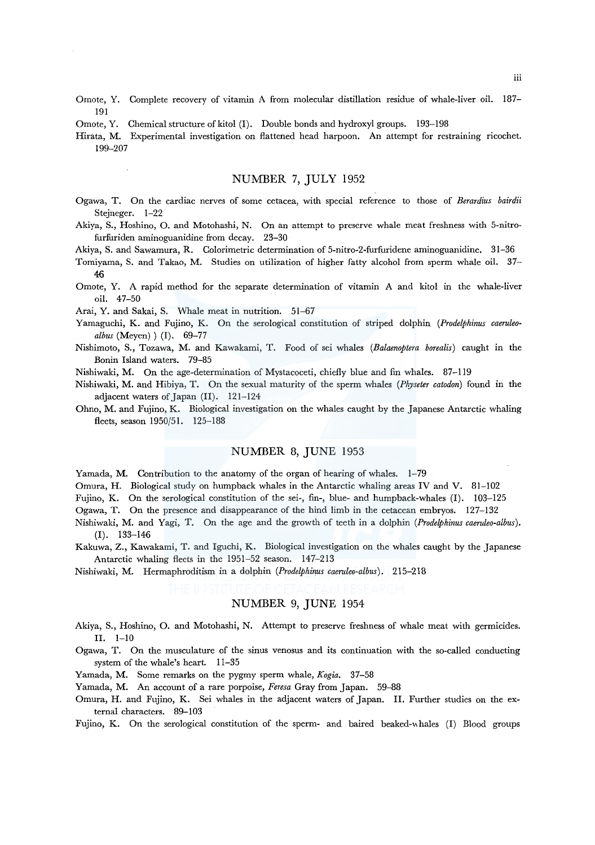- Ornate, Y. Complete recovery of vitamin A from molecular distillation residue of whale-liver oil. 187- 191
- Omote, Y. Chemical structure of kitol (I). Double bonds and hydroxyl groups. 193-198
- Hirata, M. Experimental investigation on flattened head harpoon. An attempt for restraining ricochet. 199-207

## NUMBER 7, JULY 1952

- Ogawa, T. On the cardiac nerves of some cetacea, with special reference to those of *Berardius bairdii*  Steineger. 1-22
- Akiya, S., Hoshino, 0. and Motohashi, N. On an attempt to preserve whale meat freshness with 5-nitrofurfuriden aminoguanidine from decay. 23-30

Akiya, S. and Sawamura, R. Colorimetric determination of 5-nitro-2-furfuridene aminoguanidine. 31-36

- Tomiyama, S. and Takao, M. Studies on utilization of higher fatty alcohol from sperm whale oil. 37- 46
- Omote, Y. A rapid method for the separate determination of vitamin A and kitol in the whale-liver oil. 47-50

Arai, Y. and Sakai, S. Whale meat in nutrition. 51-67

- Yamaguchi, K. and Fujino, K. On the serological constitution of striped dolphin *(Prodelphinus caeruleoalbus* (Meyen) ) (I). 69-77
- Nishimoto, S., Tozawa, M. and Kawakami, T. Food of sei whales *(Balaenoptera borealis)* caught in the Bonin Island waters. 79-85
- Nishiwaki, M. On the age-determination of Mystacoceti, chiefly blue and fin whales. 87-119
- Nishiwaki, M. and Hibiya, T. On the sexual maturity of the sperm whales *(Physeter catodon)* found in the adjacent waters of Japan (II). 121-124
- Ohno, M. and Fujino, K. Biological investigation on the whales caught by the Japanese Antarctic whaling fleets, season 1950/51. 125-188

## NUMBER 8, JUNE 1953

Yamada, M. Contribution to the anatomy of the organ of hearing of whales. 1-79

Omura, H. Biological study on humpback whales in the Antarctic whaling areas IV and V. 81-102

Fujino, K. On the serological constitution of the sei-, fin-, blue- and humpback-whales (I). 103-125

Ogawa, T. On the presence and disappearance of the hind limb in the cetacean embryos. 127-132

- Nishiwaki, M. and Yagi, T. On the age and the growth of teeth in a dolphin *(Prodelphinus caeruleo-albus).*  (I). 133-146
- Kakuwa, Z., Kawakami, T. and Iguchi, K. Biological investigation on the whales caught by the Japanese Antarctic whaling fleets in the 1951-52 season. 147-213

Nishiwaki, M. Hermaphroditism in a dolphin *(Prodelphinus caeruleo-albus).* 215-218

# NUMBER 9, JUNE 1954

- Akiya, S., Hoshino, 0. and Motohashi, N. Attempt to preserve freshness of whale meat with germicides. II. 1-10
- Ogawa, T. On the musculature of the sinus venosus and its continuation with the so-called conducting system of the whale's heart. 11-35
- Yamada, M. Some remarks on the pygmy sperm whale, *Kogia.* 37-58
- Yamada, M. An account of a rare porpoise, *Feresa* Gray from Japan. 59-88
- Omura, H. and Fujino, K. Sei whales in the adjacent waters of Japan. II. Further studies on the external characters. 89-103
- Fujino, K. On the serological constitution of the sperm- and baired beaked-whales (I) Blood groups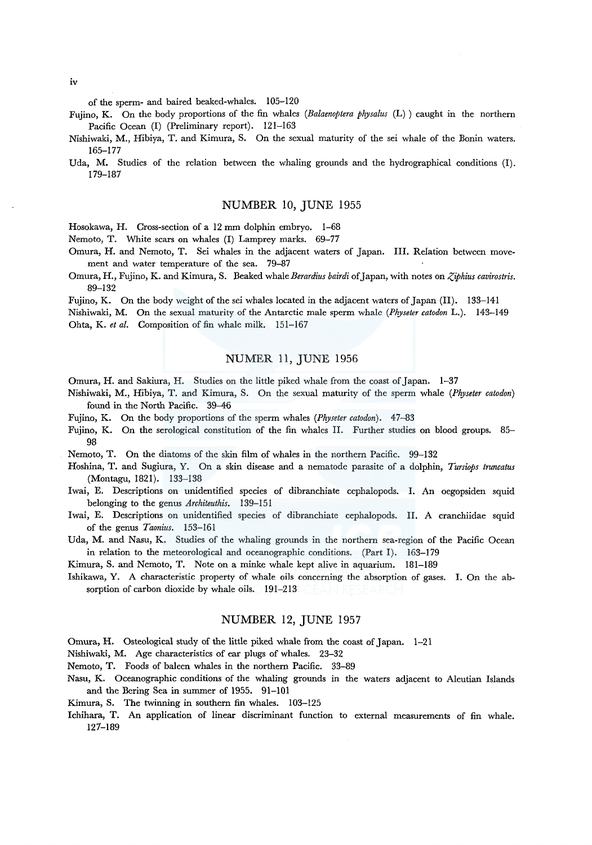of the sperm- and haired beaked-whales. 105-120

Fujino, K. On the body proportions of the fin whales *(Balaenoptera physalus* (L) ) caught in the northern Pacific Ocean (I) (Preliminary report). 121-163

Nishiwaki, M., Hibiya, T. and Kimura, S. On the sexual maturity of the sei whale of the Bonin waters. 165-177

Uda, M. Studies of the relation between the whaling grounds and the hydrographical conditions (I). 179-187

# NUMBER 10, JUNE 1955

Hosokawa, H. Cross-section of a 12 mm dolphin embryo. 1-68

Nemoto, T. White scars on whales (I) Lamprey marks. 69-77

- Omura, H. and Nemoto, T. Sei whales in the adjacent waters of Japan. III. Relation between movement and water temperature of the sea. 79-87
- Omura, H., Fujino, K. and Kimura, S. Beaked whale *Berardius bairdi* of Japan, with notes on *Ziphius cavirostris*. 89-132

Fujino, K. On the body weight of the sei whales located in the adjacent waters of Japan (II). 133-141

Nishiwaki, M. On the sexual maturity of the Antarctic male sperm whale *(Physeter catodon* L.). 143-149 Ohta, K. *et al.* Composition of fin whale milk. 151-167

# NUMER 11, JUNE 1956

Omura, H. and Sakiura, H. Studies on the little piked whale from the coast of Japan. 1-37

- Nishiwaki, M., Hibiya, T. and Kimura, S. On the sexual maturity of the sperm whale *(Physeter catodon)*  found in the North Pacific. 39-46
- Fujino, K. On the body proportions of the sperm whales *(Physeter catodon).* 47-83
- Fujino, K. On the serological constitution of the fin whales II. Further studies on blood groups. 85- 98

Nemoto, T. On the diatoms of the skin film of whales in the northern Pacific. 99-132

- Hoshina, T. and Sugiura, Y. On a skin disease and a nematode parasite of a dolphin, *Tursiops truncatus*  (Montagu, 1821). 133-138
- Iwai, E. Descriptions on unidentified species of dibranchiate cephalopods. I. An oegopsiden squid belonging to the genus *Architeuthis.* 139-151
- Iwai, E. Descriptions on unidentified species of dibranchiate cephalopods. II. A cranchiidae squid of the genus *Taonius.* 153-161

Uda, M. and Nasu, K. Studies of the whaling grounds in the northern sea-region of the Pacific Ocean in relation to the meteorological and oceanographic conditions. (Part I). 163-179

Kimura, S. and Nemoto, T. Note on a minke whale kept alive in aquarium. 181-189

Ishikawa, Y. A characteristic property of whale oils concerning the absorption of gases. I. On the absorption of carbon dioxide by whale oils. 191-213

### NUMBER 12, JUNE 1957

Omura, H. Osteological study of the little piked whale from the coast of Japan. 1-21

Nishiwaki, M. Age characteristics of ear plugs of whales. 23-32

- Nemoto, T. Foods of baleen whales in the northern Pacific. 33-89
- Nasu, K. Oceanographic conditions of the whaling grounds in the waters adjacent to Aleutian Islands and the Bering Sea in summer of 1955. 91-101
- Kimura, S. The twinning in southern fin whales. 103-125
- Ichihara, T. An application of linear discriminant function to external measurements of fin whale. 127-189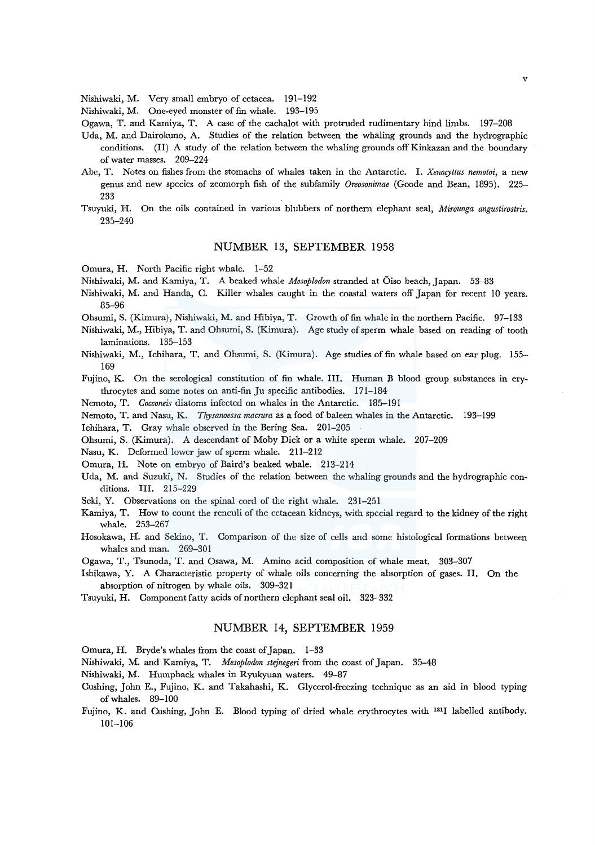Nishiwaki, M. Very small embryo of cetacea. 191-192

Nishiwaki, M. One-eyed monster of fin whale. 193-195

Ogawa, T. and Kamiya, T. A case of the cachalot with protruded rudimentary hind limbs. 197-208

- Uda, M. and Dairokuno, A. Studies of the relation between the whaling grounds and the hydrographic conditions. (II) A study of the relation between the whaling grounds off Kinkazan and the boundary of water masses. 209-224
- Abe, T. Notes on fishes from the stomachs of whales taken in the Antarctic. I. *Xenocyttus nemotoi,* a new genus and new species of zeomorph fish of the subfamily *Oreosonimae* (Goode and Bean, 1895). 225- 233
- Tsuyuki, H. On the oils contained in various blubbers of northern elephant seal, *Mirounga angustirostris.*  235-240

## NUMBER 13, SEPTEMBER 1958

Omura, H. North Pacific right whale. 1-52

Nishiwaki, M. and Kamiya, T. A beaked whale *Mesoplodon* stranded at Oiso beach, Japan. 53-83

- Nishiwaki, M. and Handa, C. Killer whales caught in the coastal waters off Japan for recent 10 years. 85-96
- Ohsumi, S. (Kimura), Nishiwaki, M. and Hibiya, T. Growth of fin whale in the northern Pacific. 97-133
- Nishiwaki, M., Hibiya, T. and Ohsumi, S. (Kimura). Age study of sperm whale based on reading of tooth laminations. 135-153
- Nishiwaki, M., Ichihara, T. and Ohsumi, S. (Kimura). Age studies of fin whale based on ear plug. 155- 169

Fujino, K. On the serological constitution of fin whale. III. Human B blood group substances in erythrocytes and some notes on anti-fin Ju specific antibodies. 171-184

Nemoto, T. *Cocconeis* diatoms infected on whales in the Antarctic. 185-191

Nemoto, T. and Nasu, K. *Thysanoessa macrura* as a food of baleen whales in the Antarctic. 193-199

Ichihara, T. Gray whale observed in the Bering Sea. 201-205

Ohsumi, S. (Kimura). A descendant of Moby Dick or a white sperm whale. 207-209

Nasu, K. Deformed lower jaw of sperm whale. 211-212

- Omura, H. Note on embryo of Baird's beaked whale. 213-214
- Uda, M. and Suzuki, N. Studies of the relation between the whaling grounds and the hydrographic conditions. III. 215-229
- Seki, Y. Observations on the spinal cord of the right whale. 231-251
- Kamiya, T. How to count the renculi of the cetacean kidneys, with special regard to the kidney of the right whale. 253-267
- Hosokawa, H. and Sekino, T. Comparison of the size of cells and some histological formations between whales and man. 269-301

Ogawa, T., Tsunoda, T. and Osawa, M. Amino acid composition of whale meat. 303-307

- Ishikawa, Y. A Characteristic property of whale oils concerning the absorption of gases. II. On the absorption of nitrogen by whale oils. 309-321
- Tsuyuki, H. Component fatty acids of northern elephant seal oil. 323-332

#### NUMBER 14, SEPTEMBER 1959

Omura, H. Bryde's whales from the coast of Japan. 1-33

Nishiwaki, M. and Kamiya, T. *Mesoplodon stejnegeri* from the coast of Japan. 35-48

- Nishiwaki, M. Humpback whales in Ryukyuan waters. 49-87
- Cushing, John E., Fujino, K. and Takahashi, K. Glycerol-freezing technique as an aid in blood typing of whales. 89-100
- Fujino, K. and Cushing, John E. Blood typing of dried whale erythrocytes with 1311 labelled antibody. 101-106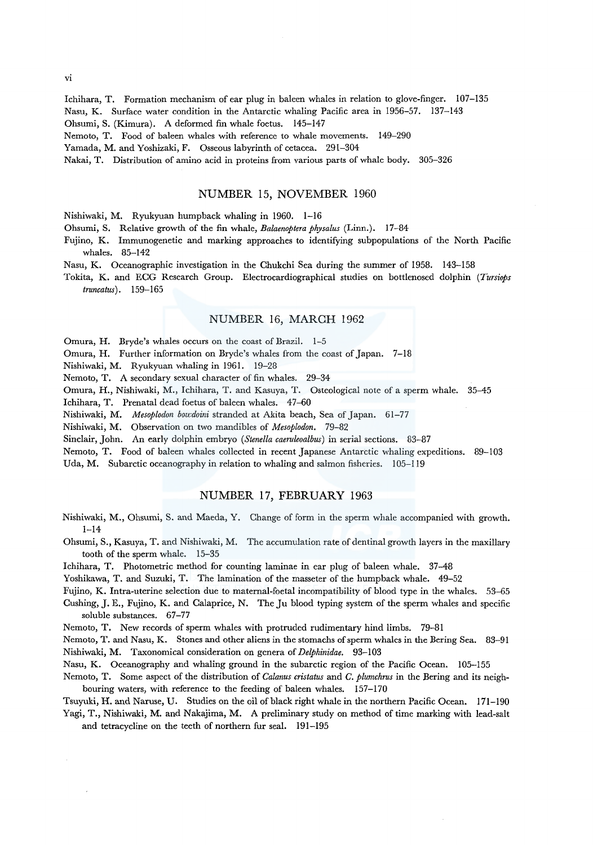Ichihara, T. Formation mechanism of ear plug in baleen whales in relation to glove-finger. 107-135 Nasu, K. Surface water condition in the Antarctic whaling Pacific area in 1956-57. 137-143 Ohsumi, S. (Kimura). A deformed fin whale foetus. 145-147

Nemoto, T. Food of baleen whales with reference to whale movements. 149-290

Yamada, M. and Yoshizaki, F. Osseous labyrinth of cetacea. 291-304

Nakai, T. Distribution of amino acid in proteins from various parts of whale body. 305-326

#### NUMBER 15, NOVEMBER 1960

Nishiwaki, M. Ryukyuan humpback whaling in 1960. 1-16

Ohsumi, S. Relative growth of the fin whale, *Balaenoptera physalus* (Linn.). 17-84

- Fujino, K. Immunogenetic and marking approaches to identifying subpopulations of the North Pacific whales. 85-142
- Nasu, K. Oceanographic investigation in the Chukchi Sea during the summer of 1958. 143-158
- Tokita, K. and ECG Research Group. Electrocardiographical studies on bottlenosed dolphin *(Tursiops truncatus).* 159-165

#### NUMBER 16, MARCH 1962

Omura, H. Bryde's whales occurs on the coast of Brazil. 1-5

Omura, H. Further information on Bryde's whales from the coast of Japan. 7-18

Nishiwaki, M. Ryukyuan whaling in 1961. 19-28

Nemoto, T. A secondary sexual character of fin whales. 29-34

Omura, H., Nishiwaki, M., Ichihara, T. and Kasuya, T. Osteological note of a sperm whale. 35-45

Ichihara, T. Prenatal dead foetus of baleen whales. 47-60

Nishiwaki, M. *Mesoplodon bou:doini* stranded at Akita beach, Sea of Japan. 61-77

Nishiwaki, M. Observation on two mandibles of *Mesoplodon.* 79-82

Sinclair, John. An early dolphin embryo *(Stene/la caeruleoalbus)* in serial sections. 83-87

Nemoto, T. Food of baleen whales collected in recent Japanese Antarctic whaling expeditions. 89-103

Uda, M. Subarctic oceanography in relation to whaling and salmon fisheries. 105-119

## NUMBER 17, FEBRUARY 1963

Nishiwaki, M., Ohsumi, S. and Maeda, Y. Change of form in the sperm whale accompanied with growth. 1-14

Ohsumi, S., Kasuya, T. and Nishiwaki, M. The accumulation rate of dentinal growth layers in the maxillary tooth of the sperm whale. 15-35

Ichihara, T. Photometric method for counting laminae in ear plug of baleen whale. 37-48

Yoshikawa, T. and Suzuki, T. The lamination of the masseter of the humpback whale. 49-52

Fujino, K. Intra-uterine selection due to maternal-foetal incompatibility of blood type in the whales. 53--65 Cushing, J.E., Fujino, K. and Calaprice, N. The Ju blood typing system of the sperm whales and specific

soluble substances. 67-77

Nemoto, T. New records of sperm whales with protruded rudimentary hind limbs. 79-81

Nemoto, T. and Nasu, K. Stones and other aliens in the stomachs of sperm whales in the Bering Sea. 83-91 Nishiwaki, M. Taxonomical consideration on genera of *Delphinidae.* 93-103

Nasu, K. Oceanography and whaling ground in the subarctic region of the Pacific Ocean. 105-155

Nemoto, T. Some aspect of the distribution of *Calanus cristatus* and *C. plumchrus* in the Bering and its neighbouring waters, with reference to the feeding of baleen whales. 157-170

Tsuyuki, H. and Naruse, U. Studies on the oil of black right whale in the northern Pacific Ocean. 171-190 Yagi, T., Nishiwaki, M. and Nakajima, M. A preliminary study on method of time marking with lead-salt

and tetracycline on the teeth of northern fur seal. 191-195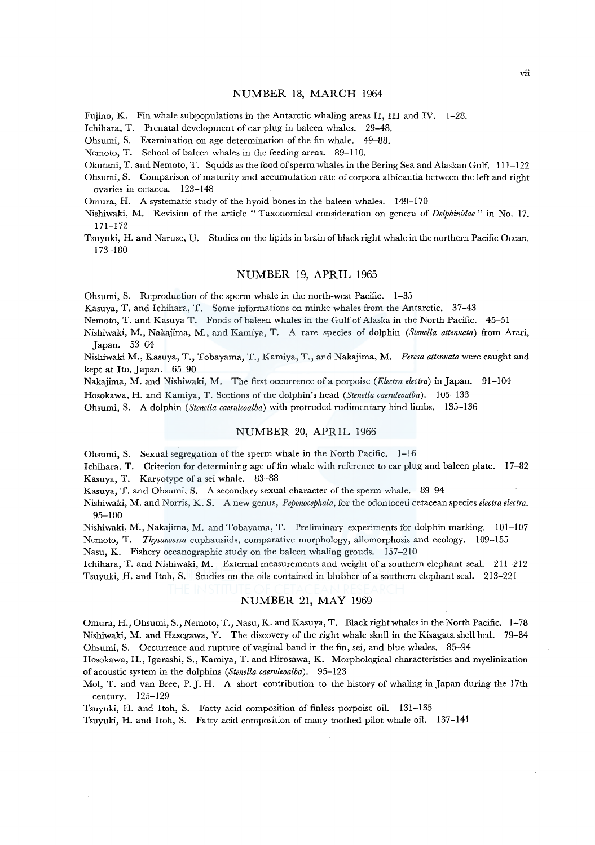#### NUMBER 18, MARCH 1964

Fujino, K. Fin whale subpopulations in the Antarctic whaling areas II, III and IV. 1-28.

Ichihara, T. Prenatal development of ear plug in baleen whales. 29-48.

Ohsumi, S. Examination on age determination of the fin whale. 49-88.

Nemoto, T. School of baleen whales in the feeding areas. 89-110.

Okutani, T. and Nemoto, T. Squids as the food of sperm whales in the Bering Sea and Alaskan Gulf. 111-122

Ohsumi, S. Comparison of maturity and accumulation rate of corpora albicantia between the left and right ovaries in cetacea. 123-148

Omura, H. A systematic study of the hyoid bones in the baleen whales. 149-170

Nishiwaki, M. Revision of the article "Taxonomical consideration on genera of *Delphinidae"* in No. 17. 171-172

Tsuyuki, H. and Naruse, U. Studies on the lipids in brain of black right whale in the northern Pacific Ocean. 173-180

#### NUMBER 19, APRIL 1965

Ohsumi, S. Reproduction of the sperm whale in the north-west Pacific. 1-35

Kasuya, T. and Ichihara, T. Some informations on minke whales from the Antarctic. 37-43

Nemoto, T. and Kasuya T. Foods of baleen whales in the Gulf of Alaska in the North Pacific. 45-51

Nishiwaki, M., Nakajima, M., and Kamiya, T. A rare species of dolphin *(Stenella attenuata)* from Arari, Japan. 53-64

Nishiwaki M., Kasuya, T., Tobayama, T., Kamiya, T., and Nakajima, M. *Feresa attenuata* were caught and kept at Ito, Japan. 65-90

Nakajima, M. and Nishiwaki, M. The first occurrence ofa porpoise *(Electra electra)* in Japan. 91-104

Hosokawa, H. and Kamiya, T. Sections of the dolphin's head *(Stenella caeruleoalba).* 105-133

Ohsumi, S. A dolphin *(Stenella caeruleoalba)* with protruded rudimentary hind limbs. 135-136

### NUMBER 20, APRIL 1966

Ohsumi, S. Sexual segregation of the sperm whale in the North Pacific. 1-16

Ichihara. T. Criterion for determining age of fin whale with reference to ear plug and baleen plate. 17-82 Kasuya, T. Karyotype of a sei whale. 83-88

Kasuya, T. and Ohsumi, S. A secondary sexual character of the sperm whale. 89-94

Nishiwaki, M. and Norris, K. S. A new genus, *Peponocephala,* for the odontcceti cetacean species *electra electra.*  95-100

Nishiwaki, M., Nakajima, M. and Tobayama, T. Preliminary experiments for dolphin marking. 101-107

Nemoto, T. *Thysanoessa* euphausiids, comparative morphology, allomorphosis and ecology. 109-155

Nasu, K. Fishery oceanographic study on the baleen whaling grouds. 157-210

Ichihara, T. and Nishiwaki, M. External measurements and weight of a southern elephant seal. 211-212 Tsuyuki, H. and Itoh, S. Studies on the oils contained in blubber ofa southern elephant seal. 213-221

#### NUMBER 21, MAY 1969

Omura, H., Ohsumi, S., Nemoto, T., Nasu, K. and Kasuya, T. Black right whales in the North Pacific. 1-78 Nishiwaki, M. and Hasegawa, Y. The discovery of the right whale skull in the Kisagata shell bed. 79-84 Ohsumi, S. Occurrence and rupture of vaginal band in the fin, sei, and blue whales. 85-94

Hosokawa, H., Igarashi, S., Kamiya, T. and Hirosawa, K. Morphological characteristics and myelinization of acoustic system in the dolphins *(Stenella caeruleoalba).* 95-123

Mol, T. and van Bree, P. J. H. A short contribution to the history of whaling in Japan during the 17th century. 125-129

Tsuyuki, H. and Itoh, S. Fatty acid composition of finless porpoise oil. 131-135

Tsuyuki, H. and Itoh, S. Fatty acid composition of many toothed pilot whale oil. 137-141